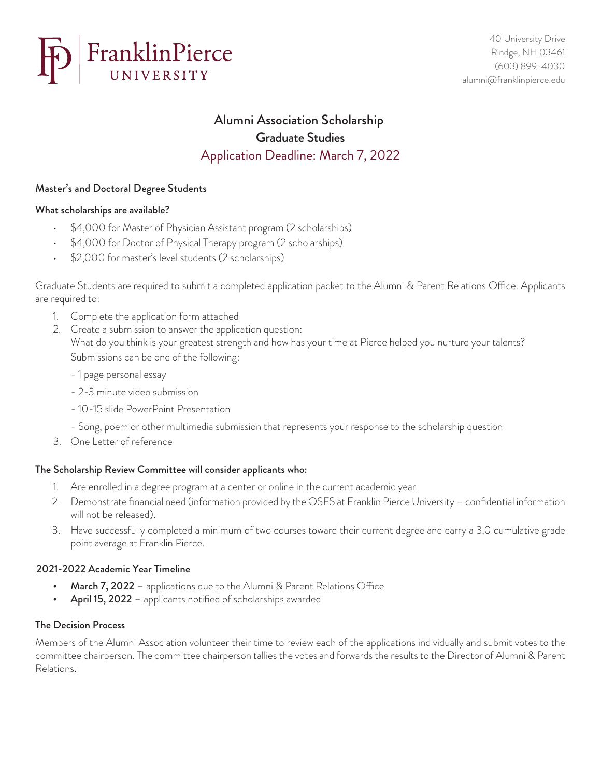

# Alumni Association Scholarship Graduate Studies Application Deadline: March 7, 2022

# Master's and Doctoral Degree Students

## What scholarships are available?

- \$4,000 for Master of Physician Assistant program (2 scholarships)
- \$4,000 for Doctor of Physical Therapy program (2 scholarships)
- \$2,000 for master's level students (2 scholarships)

Graduate Students are required to submit a completed application packet to the Alumni & Parent Relations Office. Applicants are required to:

- 1. Complete the application form attached
- 2. Create a submission to answer the application question: What do you think is your greatest strength and how has your time at Pierce helped you nurture your talents? Submissions can be one of the following:
	- 1 page personal essay
	- 2-3 minute video submission
	- 10-15 slide PowerPoint Presentation
	- Song, poem or other multimedia submission that represents your response to the scholarship question
- 3. One Letter of reference

## The Scholarship Review Committee will consider applicants who:

- 1. Are enrolled in a degree program at a center or online in the current academic year.
- 2. Demonstrate financial need (information provided by the OSFS at Franklin Pierce University confidential information will not be released).
- 3. Have successfully completed a minimum of two courses toward their current degree and carry a 3.0 cumulative grade point average at Franklin Pierce.

## 2021-2022 Academic Year Timeline

- **March 7, 2022** applications due to the Alumni & Parent Relations Office
- April 15, 2022 applicants notified of scholarships awarded

## The Decision Process

Members of the Alumni Association volunteer their time to review each of the applications individually and submit votes to the committee chairperson. The committee chairperson tallies the votes and forwards the results to the Director of Alumni & Parent Relations.